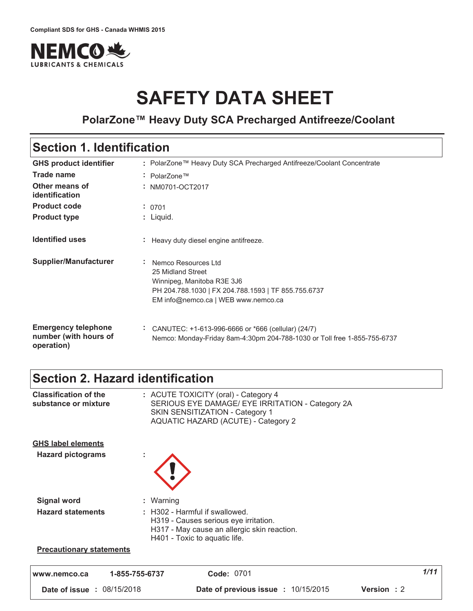

# **SAFETY DATA SHEET**

### **PolarZone™ Heavy Duty SCA Precharged Antifreeze/Coolant**

### **Section 1. Identification**

| <b>GHS product identifier</b>                                     | : PolarZone™ Heavy Duty SCA Precharged Antifreeze/Coolant Concentrate                                                                                                |
|-------------------------------------------------------------------|----------------------------------------------------------------------------------------------------------------------------------------------------------------------|
| <b>Trade name</b>                                                 | $\therefore$ PolarZone <sup>TM</sup>                                                                                                                                 |
| Other means of<br>identification                                  | : NM0701-OCT2017                                                                                                                                                     |
| <b>Product code</b>                                               | : 0701                                                                                                                                                               |
| <b>Product type</b>                                               | : Liquid.                                                                                                                                                            |
| <b>Identified uses</b>                                            | Heavy duty diesel engine antifreeze.                                                                                                                                 |
| Supplier/Manufacturer                                             | Nemco Resources Ltd<br>25 Midland Street<br>Winnipeg, Manitoba R3E 3J6<br>PH 204.788.1030   FX 204.788.1593   TF 855.755.6737<br>EM info@nemco.ca   WEB www.nemco.ca |
| <b>Emergency telephone</b><br>number (with hours of<br>operation) | CANUTEC: $+1-613-996-6666$ or $*666$ (cellular) (24/7)<br>Nemco: Monday-Friday 8am-4:30pm 204-788-1030 or Toll free 1-855-755-6737                                   |

### **Section 2. Hazard identification**

| www.nemco.ca                                          | <b>Code: 0701</b><br>1-855-755-6737                                                                                                                                  | 1/11 |
|-------------------------------------------------------|----------------------------------------------------------------------------------------------------------------------------------------------------------------------|------|
| <b>Precautionary statements</b>                       |                                                                                                                                                                      |      |
| <b>Signal word</b><br><b>Hazard statements</b>        | : Warning<br>: H302 - Harmful if swallowed.<br>H319 - Causes serious eye irritation.<br>H317 - May cause an allergic skin reaction.<br>H401 - Toxic to aquatic life. |      |
| <b>GHS label elements</b><br><b>Hazard pictograms</b> |                                                                                                                                                                      |      |
| <b>Classification of the</b><br>substance or mixture  | : ACUTE TOXICITY (oral) - Category 4<br>SERIOUS EYE DAMAGE/ EYE IRRITATION - Category 2A<br>SKIN SENSITIZATION - Category 1<br>AQUATIC HAZARD (ACUTE) - Category 2   |      |

**Date of issue : 08/15/2018 http://www.fragmerite.com/ Date of previous issue : 10/15/2015 Version : 2**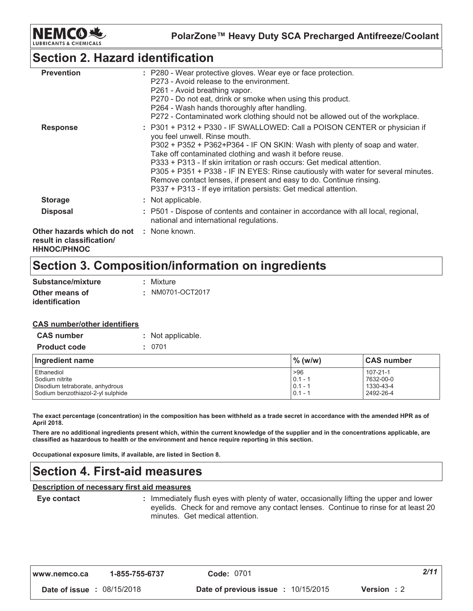

PolarZone™ Heavy Duty SCA Precharged Antifreeze/Coolant

### **Section 2. Hazard identification**

| <b>Prevention</b>                                                                                  | : P280 - Wear protective gloves. Wear eye or face protection.<br>P273 - Avoid release to the environment.<br>P261 - Avoid breathing vapor.<br>P270 - Do not eat, drink or smoke when using this product.<br>P264 - Wash hands thoroughly after handling.<br>P272 - Contaminated work clothing should not be allowed out of the workplace.                                                                                                                                                                                                                      |
|----------------------------------------------------------------------------------------------------|----------------------------------------------------------------------------------------------------------------------------------------------------------------------------------------------------------------------------------------------------------------------------------------------------------------------------------------------------------------------------------------------------------------------------------------------------------------------------------------------------------------------------------------------------------------|
| <b>Response</b>                                                                                    | : P301 + P312 + P330 - IF SWALLOWED: Call a POISON CENTER or physician if<br>you feel unwell. Rinse mouth.<br>P302 + P352 + P362+P364 - IF ON SKIN: Wash with plenty of soap and water.<br>Take off contaminated clothing and wash it before reuse.<br>P333 + P313 - If skin irritation or rash occurs: Get medical attention.<br>P305 + P351 + P338 - IF IN EYES: Rinse cautiously with water for several minutes.<br>Remove contact lenses, if present and easy to do. Continue rinsing.<br>P337 + P313 - If eye irritation persists: Get medical attention. |
| <b>Storage</b>                                                                                     | : Not applicable.                                                                                                                                                                                                                                                                                                                                                                                                                                                                                                                                              |
| <b>Disposal</b>                                                                                    | : P501 - Dispose of contents and container in accordance with all local, regional,<br>national and international regulations.                                                                                                                                                                                                                                                                                                                                                                                                                                  |
| <b>Other hazards which do not : None known.</b><br>result in classification/<br><b>HHNOC/PHNOC</b> |                                                                                                                                                                                                                                                                                                                                                                                                                                                                                                                                                                |

# Section 3. Composition/information on ingredients

| Substance/mixture     | : Mixture        |
|-----------------------|------------------|
| Other means of        | : NM0701-OCT2017 |
| <i>identification</i> |                  |

#### **CAS number/other identifiers**

| <b>CAS number</b>   | : Not applicable. |
|---------------------|-------------------|
| <b>Product code</b> | : 0701            |

| Ingredient name                   | $\%$ (w/w) | <b>CAS number</b> |
|-----------------------------------|------------|-------------------|
| Ethanediol                        | >96        | $107 - 21 - 1$    |
| Sodium nitrite                    | $0.1 - 1$  | 7632-00-0         |
| Disodium tetraborate, anhydrous   | $0.1 - 1$  | 1330-43-4         |
| Sodium benzothiazol-2-yl sulphide | $0.1 - 1$  | 2492-26-4         |

The exact percentage (concentration) in the composition has been withheld as a trade secret in accordance with the amended HPR as of April 2018.

There are no additional ingredients present which, within the current knowledge of the supplier and in the concentrations applicable, are classified as hazardous to health or the environment and hence require reporting in this section.

Occupational exposure limits, if available, are listed in Section 8.

### **Section 4. First-aid measures**

#### Description of necessary first aid measures

Eye contact

: Immediately flush eyes with plenty of water, occasionally lifting the upper and lower eyelids. Check for and remove any contact lenses. Continue to rinse for at least 20 minutes. Get medical attention.

| www.nemco.ca | 1-855-755-6737 |
|--------------|----------------|
|--------------|----------------|

Code: 0701

Date of issue : 08/15/2018

 $2/11$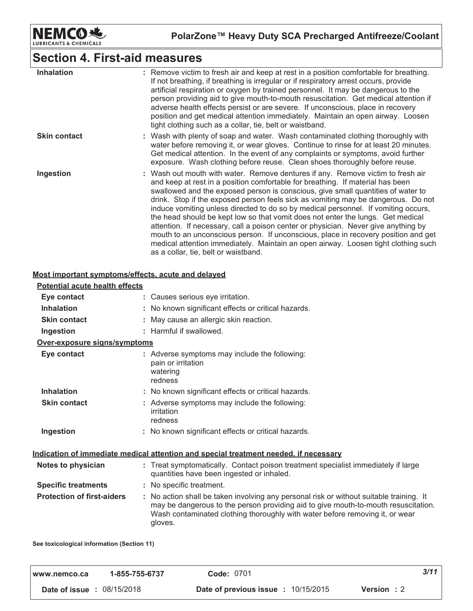

# **Section 4. First-aid measures**

| <b>Inhalation</b>   | : Remove victim to fresh air and keep at rest in a position comfortable for breathing.<br>If not breathing, if breathing is irregular or if respiratory arrest occurs, provide<br>artificial respiration or oxygen by trained personnel. It may be dangerous to the<br>person providing aid to give mouth-to-mouth resuscitation. Get medical attention if<br>adverse health effects persist or are severe. If unconscious, place in recovery<br>position and get medical attention immediately. Maintain an open airway. Loosen<br>tight clothing such as a collar, tie, belt or waistband.                                                                                                                                                                                                                                  |
|---------------------|-------------------------------------------------------------------------------------------------------------------------------------------------------------------------------------------------------------------------------------------------------------------------------------------------------------------------------------------------------------------------------------------------------------------------------------------------------------------------------------------------------------------------------------------------------------------------------------------------------------------------------------------------------------------------------------------------------------------------------------------------------------------------------------------------------------------------------|
| <b>Skin contact</b> | : Wash with plenty of soap and water. Wash contaminated clothing thoroughly with<br>water before removing it, or wear gloves. Continue to rinse for at least 20 minutes.<br>Get medical attention. In the event of any complaints or symptoms, avoid further<br>exposure. Wash clothing before reuse. Clean shoes thoroughly before reuse.                                                                                                                                                                                                                                                                                                                                                                                                                                                                                    |
| Ingestion           | : Wash out mouth with water. Remove dentures if any. Remove victim to fresh air<br>and keep at rest in a position comfortable for breathing. If material has been<br>swallowed and the exposed person is conscious, give small quantities of water to<br>drink. Stop if the exposed person feels sick as vomiting may be dangerous. Do not<br>induce vomiting unless directed to do so by medical personnel. If vomiting occurs,<br>the head should be kept low so that vomit does not enter the lungs. Get medical<br>attention. If necessary, call a poison center or physician. Never give anything by<br>mouth to an unconscious person. If unconscious, place in recovery position and get<br>medical attention immediately. Maintain an open airway. Loosen tight clothing such<br>as a collar, tie, belt or waistband. |

#### Most important symptoms/effects, acute and delayed

| : Causes serious eye irritation.                                                                                                                                                                                                                                         |
|--------------------------------------------------------------------------------------------------------------------------------------------------------------------------------------------------------------------------------------------------------------------------|
| : No known significant effects or critical hazards.                                                                                                                                                                                                                      |
| : May cause an allergic skin reaction.                                                                                                                                                                                                                                   |
| : Harmful if swallowed.                                                                                                                                                                                                                                                  |
|                                                                                                                                                                                                                                                                          |
| : Adverse symptoms may include the following:<br>pain or irritation<br>watering<br>redness                                                                                                                                                                               |
| : No known significant effects or critical hazards.                                                                                                                                                                                                                      |
| : Adverse symptoms may include the following:<br>irritation<br>redness                                                                                                                                                                                                   |
| : No known significant effects or critical hazards.                                                                                                                                                                                                                      |
| Indication of immediate medical attention and special treatment needed, if necessary                                                                                                                                                                                     |
| : Treat symptomatically. Contact poison treatment specialist immediately if large<br>quantities have been ingested or inhaled.                                                                                                                                           |
| : No specific treatment.                                                                                                                                                                                                                                                 |
| : No action shall be taken involving any personal risk or without suitable training. It<br>may be dangerous to the person providing aid to give mouth-to-mouth resuscitation.<br>Wash contaminated clothing thoroughly with water before removing it, or wear<br>gloves. |
| Potential acute health effects<br>Over-exposure signs/symptoms                                                                                                                                                                                                           |

See toxicological information (Section 11)

| www.nemco.ca                      | 1-855-755-6737 | <b>Code: 0701</b>                        | 3/11               |
|-----------------------------------|----------------|------------------------------------------|--------------------|
| <b>Date of issue : 08/15/2018</b> |                | Date of previous issue $\div 10/15/2015$ | <b>Version</b> : 2 |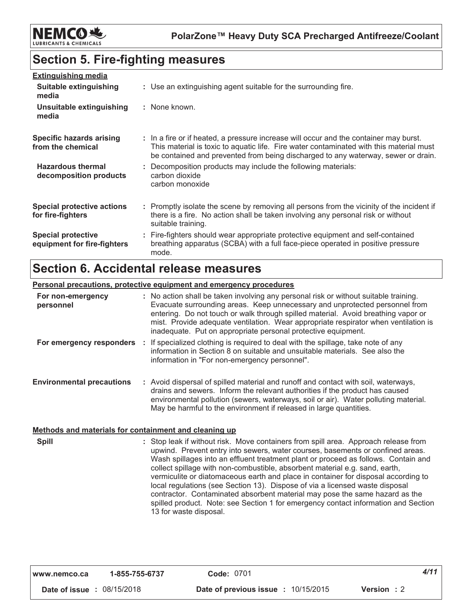

# **Section 5. Fire-fighting measures**

| <b>Extinguishing media</b>                               |                                                                                                                                                                                                                                                                       |
|----------------------------------------------------------|-----------------------------------------------------------------------------------------------------------------------------------------------------------------------------------------------------------------------------------------------------------------------|
| Suitable extinguishing<br>media                          | : Use an extinguishing agent suitable for the surrounding fire.                                                                                                                                                                                                       |
| Unsuitable extinguishing<br>media                        | : None known.                                                                                                                                                                                                                                                         |
| <b>Specific hazards arising</b><br>from the chemical     | : In a fire or if heated, a pressure increase will occur and the container may burst.<br>This material is toxic to aguatic life. Fire water contaminated with this material must<br>be contained and prevented from being discharged to any waterway, sewer or drain. |
| <b>Hazardous thermal</b><br>decomposition products       | : Decomposition products may include the following materials:<br>carbon dioxide<br>carbon monoxide                                                                                                                                                                    |
| <b>Special protective actions</b><br>for fire-fighters   | : Promptly isolate the scene by removing all persons from the vicinity of the incident if<br>there is a fire. No action shall be taken involving any personal risk or without<br>suitable training.                                                                   |
| <b>Special protective</b><br>equipment for fire-fighters | : Fire-fighters should wear appropriate protective equipment and self-contained<br>breathing apparatus (SCBA) with a full face-piece operated in positive pressure<br>mode.                                                                                           |

# **Section 6. Accidental release measures**

#### Personal precautions, protective equipment and emergency procedures

| For non-emergency<br>personnel   | : No action shall be taken involving any personal risk or without suitable training.<br>Evacuate surrounding areas. Keep unnecessary and unprotected personnel from<br>entering. Do not touch or walk through spilled material. Avoid breathing vapor or<br>mist. Provide adequate ventilation. Wear appropriate respirator when ventilation is<br>inadequate. Put on appropriate personal protective equipment. |
|----------------------------------|------------------------------------------------------------------------------------------------------------------------------------------------------------------------------------------------------------------------------------------------------------------------------------------------------------------------------------------------------------------------------------------------------------------|
|                                  | For emergency responders : If specialized clothing is required to deal with the spillage, take note of any<br>information in Section 8 on suitable and unsuitable materials. See also the<br>information in "For non-emergency personnel".                                                                                                                                                                       |
| <b>Environmental precautions</b> | : Avoid dispersal of spilled material and runoff and contact with soil, waterways,<br>drains and sewers. Inform the relevant authorities if the product has caused<br>environmental pollution (sewers, waterways, soil or air). Water polluting material.<br>May be harmful to the environment if released in large quantities.                                                                                  |

#### Methods and materials for containment and cleaning up

| <b>Spill</b> | : Stop leak if without risk. Move containers from spill area. Approach release from<br>upwind. Prevent entry into sewers, water courses, basements or confined areas. |
|--------------|-----------------------------------------------------------------------------------------------------------------------------------------------------------------------|
|              | Wash spillages into an effluent treatment plant or proceed as follows. Contain and<br>collect spillage with non-combustible, absorbent material e.g. sand, earth,     |
|              | vermiculite or diatomaceous earth and place in container for disposal according to<br>local regulations (see Section 13). Dispose of via a licensed waste disposal    |
|              | contractor. Contaminated absorbent material may pose the same hazard as the<br>spilled product. Note: see Section 1 for emergency contact information and Section     |
|              | 13 for waste disposal.                                                                                                                                                |

| www.nemco.ca                      | 1-855-755-6737 | <b>Code: 0701</b>                                 | 4/11 |
|-----------------------------------|----------------|---------------------------------------------------|------|
| <b>Date of issue : 08/15/2018</b> |                | Date of previous issue : 10/15/2015<br>Version: 2 |      |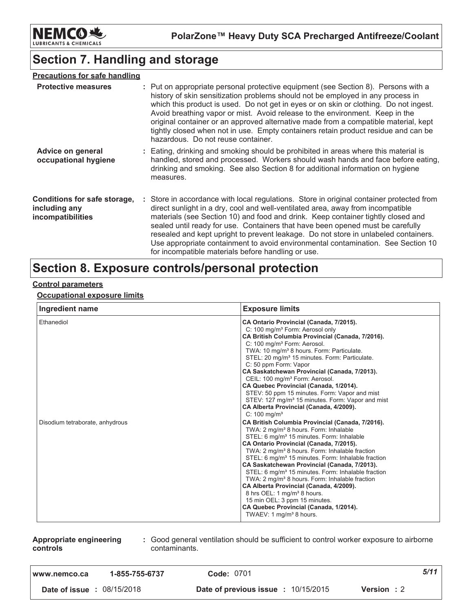

# **Section 7. Handling and storage**

| <b>Precautions for safe handling</b>                               |                                                                                                                                                                                                                                                                                                                                                                                                                                                                                                                                                                                    |
|--------------------------------------------------------------------|------------------------------------------------------------------------------------------------------------------------------------------------------------------------------------------------------------------------------------------------------------------------------------------------------------------------------------------------------------------------------------------------------------------------------------------------------------------------------------------------------------------------------------------------------------------------------------|
| <b>Protective measures</b>                                         | : Put on appropriate personal protective equipment (see Section 8). Persons with a<br>history of skin sensitization problems should not be employed in any process in<br>which this product is used. Do not get in eyes or on skin or clothing. Do not ingest.<br>Avoid breathing vapor or mist. Avoid release to the environment. Keep in the<br>original container or an approved alternative made from a compatible material, kept<br>tightly closed when not in use. Empty containers retain product residue and can be<br>hazardous. Do not reuse container.                  |
| Advice on general<br>occupational hygiene                          | : Eating, drinking and smoking should be prohibited in areas where this material is<br>handled, stored and processed. Workers should wash hands and face before eating,<br>drinking and smoking. See also Section 8 for additional information on hygiene<br>measures.                                                                                                                                                                                                                                                                                                             |
| Conditions for safe storage,<br>including any<br>incompatibilities | : Store in accordance with local regulations. Store in original container protected from<br>direct sunlight in a dry, cool and well-ventilated area, away from incompatible<br>materials (see Section 10) and food and drink. Keep container tightly closed and<br>sealed until ready for use. Containers that have been opened must be carefully<br>resealed and kept upright to prevent leakage. Do not store in unlabeled containers.<br>Use appropriate containment to avoid environmental contamination. See Section 10<br>for incompatible materials before handling or use. |

# Section 8. Exposure controls/personal protection

#### **Control parameters**

#### **Occupational exposure limits**

| Ingredient name                 | <b>Exposure limits</b>                                                                                                                                                                                                                                                                                                                                                                                                                                                                                                                                                                                                                                                                                                            |
|---------------------------------|-----------------------------------------------------------------------------------------------------------------------------------------------------------------------------------------------------------------------------------------------------------------------------------------------------------------------------------------------------------------------------------------------------------------------------------------------------------------------------------------------------------------------------------------------------------------------------------------------------------------------------------------------------------------------------------------------------------------------------------|
| Ethanediol                      | CA Ontario Provincial (Canada, 7/2015).<br>C: 100 mg/m <sup>3</sup> Form: Aerosol only<br>CA British Columbia Provincial (Canada, 7/2016).<br>C: 100 mg/m <sup>3</sup> Form: Aerosol.<br>TWA: 10 mg/m <sup>3</sup> 8 hours. Form: Particulate.<br>STEL: 20 mg/m <sup>3</sup> 15 minutes. Form: Particulate.<br>C: 50 ppm Form: Vapor<br>CA Saskatchewan Provincial (Canada, 7/2013).<br>CEIL: 100 mg/m <sup>3</sup> Form: Aerosol.<br>CA Quebec Provincial (Canada, 1/2014).<br>STEV: 50 ppm 15 minutes. Form: Vapor and mist<br>STEV: 127 mg/m <sup>3</sup> 15 minutes. Form: Vapor and mist<br>CA Alberta Provincial (Canada, 4/2009).<br>$C: 100$ mg/m <sup>3</sup>                                                            |
| Disodium tetraborate, anhydrous | CA British Columbia Provincial (Canada, 7/2016).<br>TWA: 2 mg/m <sup>3</sup> 8 hours. Form: Inhalable<br>STEL: 6 mg/m <sup>3</sup> 15 minutes. Form: Inhalable<br>CA Ontario Provincial (Canada, 7/2015).<br>TWA: 2 mg/m <sup>3</sup> 8 hours. Form: Inhalable fraction<br>STEL: 6 mg/m <sup>3</sup> 15 minutes. Form: Inhalable fraction<br>CA Saskatchewan Provincial (Canada, 7/2013).<br>STEL: 6 mg/m <sup>3</sup> 15 minutes. Form: Inhalable fraction<br>TWA: 2 mg/m <sup>3</sup> 8 hours. Form: Inhalable fraction<br>CA Alberta Provincial (Canada, 4/2009).<br>8 hrs OEL: 1 mg/m <sup>3</sup> 8 hours.<br>15 min OEL: 3 ppm 15 minutes.<br>CA Quebec Provincial (Canada, 1/2014).<br>TWAEV: 1 mg/m <sup>3</sup> 8 hours. |

| Appropriate engineering | : Good general ventilation should be sufficient to control worker exposure to airborne |
|-------------------------|----------------------------------------------------------------------------------------|
| controls                | contaminants.                                                                          |

| l www.nemco.ca                    | 1-855-755-6737 | <b>Code: 0701</b>                          |                    | 5/11 |
|-----------------------------------|----------------|--------------------------------------------|--------------------|------|
| <b>Date of issue : 08/15/2018</b> |                | <b>Date of previous issue : 10/15/2015</b> | <b>Version</b> : 2 |      |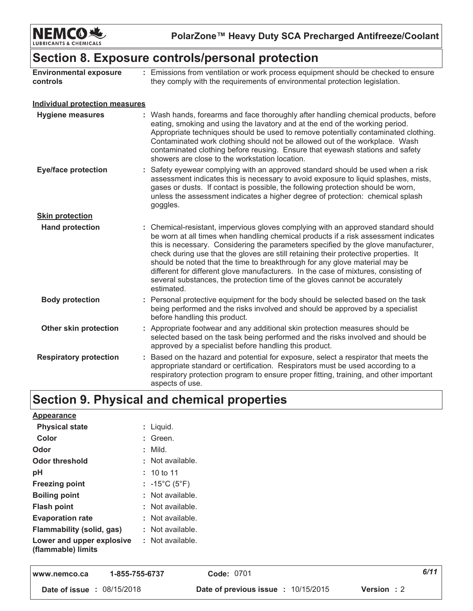

PolarZone™ Heavy Duty SCA Precharged Antifreeze/Coolant

### Section 8. Exposure controls/personal protection

| <b>Environmental exposure</b><br>controls | : Emissions from ventilation or work process equipment should be checked to ensure<br>they comply with the requirements of environmental protection legislation.                                                                                                                                                                                                                                                                                                                                                                                                                                                          |
|-------------------------------------------|---------------------------------------------------------------------------------------------------------------------------------------------------------------------------------------------------------------------------------------------------------------------------------------------------------------------------------------------------------------------------------------------------------------------------------------------------------------------------------------------------------------------------------------------------------------------------------------------------------------------------|
| <b>Individual protection measures</b>     |                                                                                                                                                                                                                                                                                                                                                                                                                                                                                                                                                                                                                           |
| <b>Hygiene measures</b>                   | : Wash hands, forearms and face thoroughly after handling chemical products, before<br>eating, smoking and using the lavatory and at the end of the working period.<br>Appropriate techniques should be used to remove potentially contaminated clothing.<br>Contaminated work clothing should not be allowed out of the workplace. Wash<br>contaminated clothing before reusing. Ensure that eyewash stations and safety<br>showers are close to the workstation location.                                                                                                                                               |
| <b>Eye/face protection</b>                | : Safety eyewear complying with an approved standard should be used when a risk<br>assessment indicates this is necessary to avoid exposure to liquid splashes, mists,<br>gases or dusts. If contact is possible, the following protection should be worn,<br>unless the assessment indicates a higher degree of protection: chemical splash<br>goggles.                                                                                                                                                                                                                                                                  |
| <b>Skin protection</b>                    |                                                                                                                                                                                                                                                                                                                                                                                                                                                                                                                                                                                                                           |
| <b>Hand protection</b>                    | : Chemical-resistant, impervious gloves complying with an approved standard should<br>be worn at all times when handling chemical products if a risk assessment indicates<br>this is necessary. Considering the parameters specified by the glove manufacturer,<br>check during use that the gloves are still retaining their protective properties. It<br>should be noted that the time to breakthrough for any glove material may be<br>different for different glove manufacturers. In the case of mixtures, consisting of<br>several substances, the protection time of the gloves cannot be accurately<br>estimated. |
| <b>Body protection</b>                    | : Personal protective equipment for the body should be selected based on the task<br>being performed and the risks involved and should be approved by a specialist<br>before handling this product.                                                                                                                                                                                                                                                                                                                                                                                                                       |
| <b>Other skin protection</b>              | : Appropriate footwear and any additional skin protection measures should be<br>selected based on the task being performed and the risks involved and should be<br>approved by a specialist before handling this product.                                                                                                                                                                                                                                                                                                                                                                                                 |
| <b>Respiratory protection</b>             | : Based on the hazard and potential for exposure, select a respirator that meets the<br>appropriate standard or certification. Respirators must be used according to a<br>respiratory protection program to ensure proper fitting, training, and other important<br>aspects of use                                                                                                                                                                                                                                                                                                                                        |

# Section 9. Physical and chemical properties

| <b>Physical state</b><br>$:$ Liquid.<br>Color<br>: Green.<br>: Mild.<br>Odor<br>: Not available.<br><b>Odor threshold</b><br>pH<br>: 10 to 11<br><b>Freezing point</b><br>: $-15^{\circ}$ C (5 $^{\circ}$ F)<br>: Not available.<br><b>Boiling point</b><br><b>Flash point</b><br>$:$ Not available.<br><b>Evaporation rate</b><br>: Not available.<br><b>Flammability (solid, gas)</b><br>$:$ Not available.<br>: Not available.<br>Lower and upper explosive<br>(flammable) limits | <b>Appearance</b> |  |
|--------------------------------------------------------------------------------------------------------------------------------------------------------------------------------------------------------------------------------------------------------------------------------------------------------------------------------------------------------------------------------------------------------------------------------------------------------------------------------------|-------------------|--|
|                                                                                                                                                                                                                                                                                                                                                                                                                                                                                      |                   |  |
|                                                                                                                                                                                                                                                                                                                                                                                                                                                                                      |                   |  |
|                                                                                                                                                                                                                                                                                                                                                                                                                                                                                      |                   |  |
|                                                                                                                                                                                                                                                                                                                                                                                                                                                                                      |                   |  |
|                                                                                                                                                                                                                                                                                                                                                                                                                                                                                      |                   |  |
|                                                                                                                                                                                                                                                                                                                                                                                                                                                                                      |                   |  |
|                                                                                                                                                                                                                                                                                                                                                                                                                                                                                      |                   |  |
|                                                                                                                                                                                                                                                                                                                                                                                                                                                                                      |                   |  |
|                                                                                                                                                                                                                                                                                                                                                                                                                                                                                      |                   |  |
|                                                                                                                                                                                                                                                                                                                                                                                                                                                                                      |                   |  |
|                                                                                                                                                                                                                                                                                                                                                                                                                                                                                      |                   |  |

| www.nemco.ca                      | 1-855-755-6737 | <b>Code: 0701</b>                                         | 6/11 |
|-----------------------------------|----------------|-----------------------------------------------------------|------|
| <b>Date of issue : 08/15/2018</b> |                | Date of previous issue : 10/15/2015<br><b>Version</b> : 2 |      |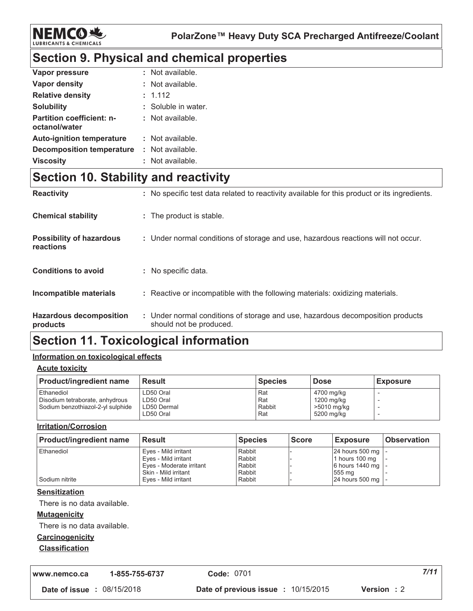

## Section 9. Physical and chemical properties

| Vapor pressure                                    | : Not available.    |
|---------------------------------------------------|---------------------|
| Vapor density                                     | : Not available.    |
| <b>Relative density</b>                           | : 1.112             |
| <b>Solubility</b>                                 | : Soluble in water. |
| <b>Partition coefficient: n-</b><br>octanol/water | : Not available.    |
| <b>Auto-ignition temperature</b>                  | : Not available.    |
| <b>Decomposition temperature</b>                  | Not available.      |
| <b>Viscosity</b>                                  | Not available.      |

### **Section 10. Stability and reactivity**

| <b>Reactivity</b>                            | : No specific test data related to reactivity available for this product or its ingredients.              |
|----------------------------------------------|-----------------------------------------------------------------------------------------------------------|
| <b>Chemical stability</b>                    | : The product is stable.                                                                                  |
| <b>Possibility of hazardous</b><br>reactions | : Under normal conditions of storage and use, hazardous reactions will not occur.                         |
| <b>Conditions to avoid</b>                   | : No specific data.                                                                                       |
| Incompatible materials                       | : Reactive or incompatible with the following materials: oxidizing materials.                             |
| <b>Hazardous decomposition</b><br>products   | : Under normal conditions of storage and use, hazardous decomposition products<br>should not be produced. |

### **Section 11. Toxicological information**

#### Information on toxicological effects

**Acute toxicity** 

| <b>Product/ingredient name</b>                                                     | <b>Result</b>                                      | <b>Species</b>              | <b>Dose</b>                                           | <b>Exposure</b> |
|------------------------------------------------------------------------------------|----------------------------------------------------|-----------------------------|-------------------------------------------------------|-----------------|
| Ethanediol<br>Disodium tetraborate, anhydrous<br>Sodium benzothiazol-2-yl sulphide | LD50 Oral<br>LD50 Oral<br>LD50 Dermal<br>LD50 Oral | Rat<br>Rat<br>Rabbit<br>Rat | 4700 mg/kg<br>1200 mg/kg<br>>5010 mg/kg<br>5200 mg/kg |                 |

#### **Irritation/Corrosion**

| <b>Product/ingredient name</b> | <b>Result</b>            | <b>Species</b> | <b>Score</b> | <b>Exposure</b> | <b>Observation</b> |
|--------------------------------|--------------------------|----------------|--------------|-----------------|--------------------|
| Ethanediol                     | Eyes - Mild irritant     | Rabbit         |              | 24 hours 500 mg |                    |
|                                | Eyes - Mild irritant     | Rabbit         |              | 1 hours 100 mg  |                    |
|                                | Eyes - Moderate irritant | Rabbit         |              | 6 hours 1440 mg |                    |
|                                | Skin - Mild irritant     | Rabbit         |              | 1555 ma         |                    |
| Sodium nitrite                 | Eyes - Mild irritant     | Rabbit         |              | 24 hours 500 mg |                    |

#### **Sensitization**

There is no data available.

#### **Mutagenicity**

There is no data available.

#### Carcinogenicity

#### **Classification**

1-855-755-6737 www.nemco.ca

Code: 0701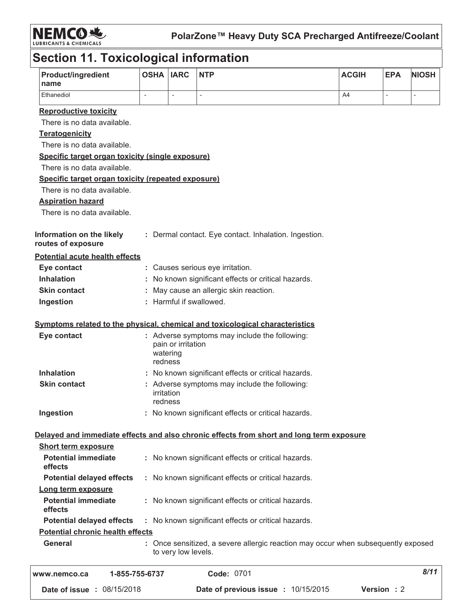

# Section 11. Toxicological information

| <b>Product/ingredient</b><br>name                    | <b>OSHA</b>                                                            | <b>IARC</b>         | <b>NTP</b>                                                                               | <b>ACGIH</b> | <b>EPA</b>     | <b>NIOSH</b> |
|------------------------------------------------------|------------------------------------------------------------------------|---------------------|------------------------------------------------------------------------------------------|--------------|----------------|--------------|
| Ethanediol                                           |                                                                        | $\overline{a}$      |                                                                                          | A4           | $\overline{a}$ |              |
| <b>Reproductive toxicity</b>                         |                                                                        |                     |                                                                                          |              |                |              |
| There is no data available.                          |                                                                        |                     |                                                                                          |              |                |              |
| <b>Teratogenicity</b>                                |                                                                        |                     |                                                                                          |              |                |              |
| There is no data available.                          |                                                                        |                     |                                                                                          |              |                |              |
| Specific target organ toxicity (single exposure)     |                                                                        |                     |                                                                                          |              |                |              |
| There is no data available.                          |                                                                        |                     |                                                                                          |              |                |              |
| Specific target organ toxicity (repeated exposure)   |                                                                        |                     |                                                                                          |              |                |              |
| There is no data available.                          |                                                                        |                     |                                                                                          |              |                |              |
| <b>Aspiration hazard</b>                             |                                                                        |                     |                                                                                          |              |                |              |
| There is no data available.                          |                                                                        |                     |                                                                                          |              |                |              |
| Information on the likely<br>routes of exposure      |                                                                        |                     | : Dermal contact. Eye contact. Inhalation. Ingestion.                                    |              |                |              |
| <b>Potential acute health effects</b>                |                                                                        |                     |                                                                                          |              |                |              |
| Eye contact                                          |                                                                        |                     | : Causes serious eye irritation.                                                         |              |                |              |
| <b>Inhalation</b>                                    |                                                                        |                     | No known significant effects or critical hazards.                                        |              |                |              |
| <b>Skin contact</b>                                  | May cause an allergic skin reaction.                                   |                     |                                                                                          |              |                |              |
| Ingestion                                            |                                                                        |                     | : Harmful if swallowed.                                                                  |              |                |              |
|                                                      |                                                                        |                     |                                                                                          |              |                |              |
|                                                      |                                                                        |                     | Symptoms related to the physical, chemical and toxicological characteristics             |              |                |              |
| Eye contact                                          | watering<br>redness                                                    | pain or irritation  | : Adverse symptoms may include the following:                                            |              |                |              |
| <b>Inhalation</b>                                    |                                                                        |                     | : No known significant effects or critical hazards.                                      |              |                |              |
| <b>Skin contact</b>                                  | : Adverse symptoms may include the following:<br>irritation<br>redness |                     |                                                                                          |              |                |              |
| Ingestion                                            |                                                                        |                     | : No known significant effects or critical hazards.                                      |              |                |              |
|                                                      |                                                                        |                     | Delayed and immediate effects and also chronic effects from short and long term exposure |              |                |              |
| <b>Short term exposure</b>                           |                                                                        |                     |                                                                                          |              |                |              |
| <b>Potential immediate</b>                           |                                                                        |                     | : No known significant effects or critical hazards.                                      |              |                |              |
| effects                                              |                                                                        |                     |                                                                                          |              |                |              |
| <b>Potential delayed effects</b>                     |                                                                        |                     | : No known significant effects or critical hazards.                                      |              |                |              |
| Long term exposure                                   |                                                                        |                     |                                                                                          |              |                |              |
| <b>Potential immediate</b><br>effects                | : No known significant effects or critical hazards.                    |                     |                                                                                          |              |                |              |
| <b>Potential delayed effects</b>                     |                                                                        |                     |                                                                                          |              |                |              |
| <b>Potential chronic health effects</b>              | : No known significant effects or critical hazards.                    |                     |                                                                                          |              |                |              |
| <b>General</b>                                       |                                                                        | to very low levels. | : Once sensitized, a severe allergic reaction may occur when subsequently exposed        |              |                |              |
| 8/11<br>Code: 0701<br>1-855-755-6737<br>www.nemco.ca |                                                                        |                     |                                                                                          |              |                |              |
| Date of issue: 08/15/2018                            |                                                                        |                     | Date of previous issue : 10/15/2015                                                      |              | Version : 2    |              |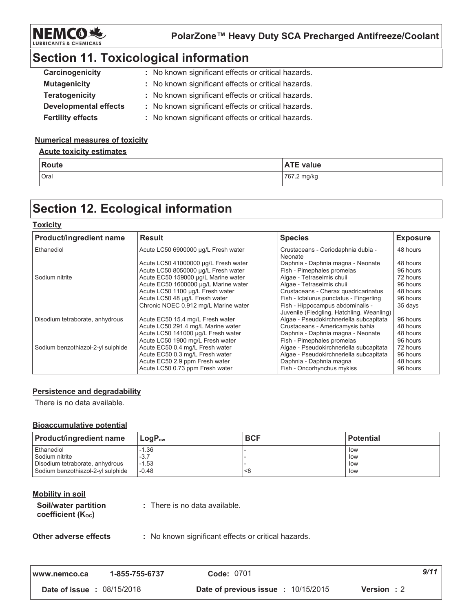

# **Section 11. Toxicological information**

| Carcinogenicity              | : No known significant effects or critical hazards. |
|------------------------------|-----------------------------------------------------|
| <b>Mutagenicity</b>          | : No known significant effects or critical hazards. |
| <b>Teratogenicity</b>        | : No known significant effects or critical hazards. |
| <b>Developmental effects</b> | : No known significant effects or critical hazards. |
| <b>Fertility effects</b>     | : No known significant effects or critical hazards. |

#### **Numerical measures of toxicity**

#### **Acute toxicity estimates**

| Route | <b>ATE value</b> |
|-------|------------------|
| Oral  | 767.2 mg/kg      |

## **Section 12. Ecological information**

#### **Toxicity**

| <b>Product/ingredient name</b>    | <b>Result</b>                        | <b>Species</b>                                                                | <b>Exposure</b> |
|-----------------------------------|--------------------------------------|-------------------------------------------------------------------------------|-----------------|
| Ethanediol                        | Acute LC50 6900000 µg/L Fresh water  | Crustaceans - Ceriodaphnia dubia -<br>Neonate                                 | 48 hours        |
|                                   | Acute LC50 41000000 µg/L Fresh water | Daphnia - Daphnia magna - Neonate                                             | 48 hours        |
|                                   | Acute LC50 8050000 µg/L Fresh water  | Fish - Pimephales promelas                                                    | 96 hours        |
| Sodium nitrite                    | Acute EC50 159000 µg/L Marine water  | Algae - Tetraselmis chuii                                                     | 72 hours        |
|                                   | Acute EC50 1600000 µq/L Marine water | Algae - Tetraselmis chuii                                                     | 96 hours        |
|                                   | Acute LC50 1100 µg/L Fresh water     | Crustaceans - Cherax quadricarinatus                                          | 48 hours        |
|                                   | Acute LC50 48 µg/L Fresh water       | Fish - Ictalurus punctatus - Fingerling                                       | 96 hours        |
|                                   | Chronic NOEC 0.912 mg/L Marine water | Fish - Hippocampus abdominalis -<br>Juvenile (Fledgling, Hatchling, Weanling) | 35 days         |
| Disodium tetraborate, anhydrous   | Acute EC50 15.4 mg/L Fresh water     | Algae - Pseudokirchneriella subcapitata                                       | 96 hours        |
|                                   | Acute LC50 291.4 mg/L Marine water   | Crustaceans - Americamysis bahia                                              | 48 hours        |
|                                   | Acute LC50 141000 µg/L Fresh water   | Daphnia - Daphnia magna - Neonate                                             | 48 hours        |
|                                   | Acute LC50 1900 mg/L Fresh water     | Fish - Pimephales promelas                                                    | 96 hours        |
| Sodium benzothiazol-2-yl sulphide | Acute EC50 0.4 mg/L Fresh water      | Algae - Pseudokirchneriella subcapitata                                       | 72 hours        |
|                                   | Acute EC50 0.3 mg/L Fresh water      | Algae - Pseudokirchneriella subcapitata                                       | 96 hours        |
|                                   | Acute EC50 2.9 ppm Fresh water       | Daphnia - Daphnia magna                                                       | 48 hours        |
|                                   | Acute LC50 0.73 ppm Fresh water      | Fish - Oncorhynchus mykiss                                                    | 96 hours        |

#### **Persistence and degradability**

There is no data available.

#### **Bioaccumulative potential**

| <b>Product/ingredient name</b>    | $\mathsf{LocP}_\infty$ | <b>BCF</b> | <b>Potential</b> |
|-----------------------------------|------------------------|------------|------------------|
| Ethanediol                        | $-1.36$                |            | low              |
| Sodium nitrite                    | $-3.7$                 |            | low              |
| Disodium tetraborate, anhydrous   | $-1.53$                |            | low              |
| Sodium benzothiazol-2-yl sulphide | $-0.48$                | <8         | low              |

#### **Mobility in soil**

Soil/water partition coefficient (Koc)

: There is no data available.

Other adverse effects

: No known significant effects or critical hazards.

| www.nemco.ca                      | 1-855-755-6737 | <b>Code: 0701</b>                     |                    | 9/11 |
|-----------------------------------|----------------|---------------------------------------|--------------------|------|
| <b>Date of issue : 08/15/2018</b> |                | Date of previous issue $: 10/15/2015$ | <b>Version</b> : 2 |      |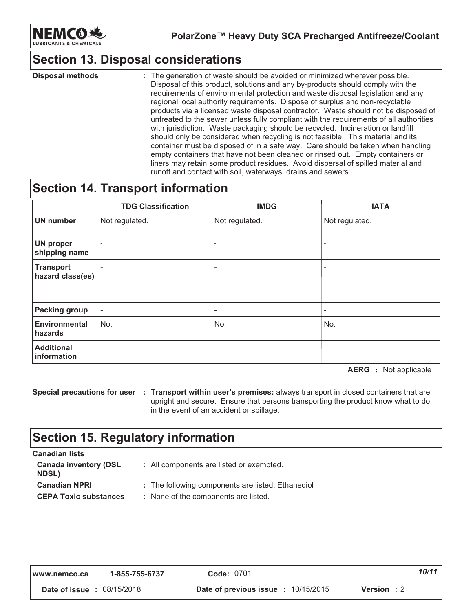

### **Section 13. Disposal considerations**

**Disposal methods** : The generation of waste should be avoided or minimized wherever possible. Disposal of this product, solutions and any by-products should comply with the requirements of environmental protection and waste disposal legislation and any regional local authority requirements. Dispose of surplus and non-recyclable products via a licensed waste disposal contractor. Waste should not be disposed of untreated to the sewer unless fully compliant with the requirements of all authorities with jurisdiction. Waste packaging should be recycled. Incineration or landfill should only be considered when recycling is not feasible. This material and its container must be disposed of in a safe way. Care should be taken when handling empty containers that have not been cleaned or rinsed out. Empty containers or liners may retain some product residues. Avoid dispersal of spilled material and runoff and contact with soil, waterways, drains and sewers.

### **Section 14. Transport information**

|                                      | <b>TDG Classification</b> | <b>IMDG</b>              | <b>IATA</b>    |
|--------------------------------------|---------------------------|--------------------------|----------------|
| <b>UN</b> number                     | Not regulated.            | Not regulated.           | Not regulated. |
| <b>UN proper</b><br>shipping name    |                           | $\overline{\phantom{a}}$ |                |
| <b>Transport</b><br>hazard class(es) |                           | $\overline{\phantom{0}}$ |                |
| <b>Packing group</b>                 | $\overline{\phantom{a}}$  | $\overline{\phantom{0}}$ |                |
| <b>Environmental</b><br>hazards      | No.                       | No.                      | No.            |
| <b>Additional</b><br>information     |                           | $\overline{\phantom{a}}$ |                |

**AERG** : Not applicable

Special precautions for user : Transport within user's premises: always transport in closed containers that are upright and secure. Ensure that persons transporting the product know what to do in the event of an accident or spillage.

### **Section 15. Regulatory information**

| <b>Canadian lists</b>                        |                                                   |
|----------------------------------------------|---------------------------------------------------|
| <b>Canada inventory (DSL</b><br><b>NDSL)</b> | : All components are listed or exempted.          |
| <b>Canadian NPRI</b>                         | : The following components are listed: Ethanediol |
| <b>CEPA Toxic substances</b>                 | : None of the components are listed.              |
|                                              |                                                   |

| I www.nemco.ca                    | 1-855-755-6737 | <b>Code: 0701</b>                   |                    | 10/11 |
|-----------------------------------|----------------|-------------------------------------|--------------------|-------|
| <b>Date of issue : 08/15/2018</b> |                | Date of previous issue : 10/15/2015 | <b>Version</b> : 2 |       |